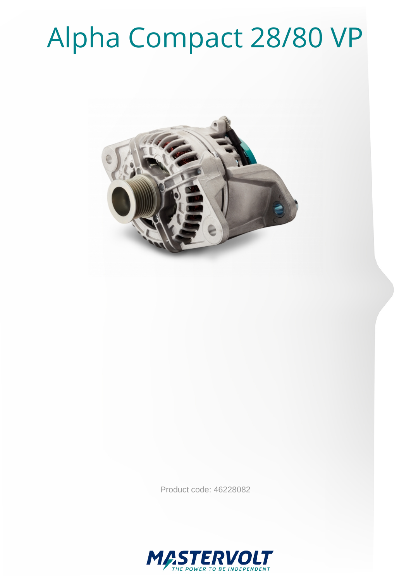# Alpha Compact 28/80 VP



Product code: 46228082

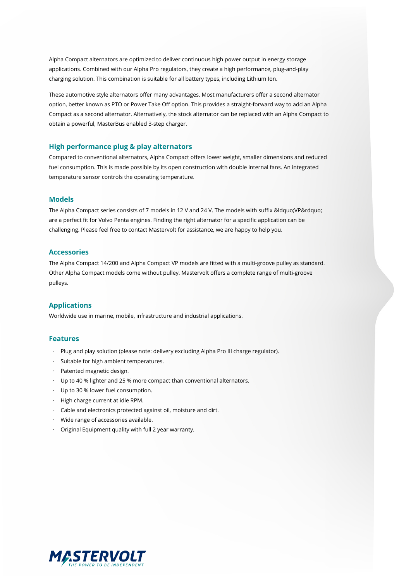Alpha Compact alternators are optimized to deliver continuous high power output in energy storage applications. Combined with our Alpha Pro regulators, they create a high performance, plug-and-play charging solution. This combination is suitable for all battery types, including Lithium Ion.

These automotive style alternators offer many advantages. Most manufacturers offer a second alternator option, better known as PTO or Power Take Off option. This provides a straight-forward way to add an Alpha Compact as a second alternator. Alternatively, the stock alternator can be replaced with an Alpha Compact to obtain a powerful, MasterBus enabled 3-step charger.

#### **High performance plug & play alternators**

Compared to conventional alternators, Alpha Compact offers lower weight, smaller dimensions and reduced fuel consumption. This is made possible by its open construction with double internal fans. An integrated temperature sensor controls the operating temperature.

#### **Models**

The Alpha Compact series consists of 7 models in 12 V and 24 V. The models with suffix " VP" are a perfect fit for Volvo Penta engines. Finding the right alternator for a specific application can be challenging. Please feel free to contact Mastervolt for assistance, we are happy to help you.

#### **Accessories**

The Alpha Compact 14/200 and Alpha Compact VP models are fitted with a multi-groove pulley as standard. Other Alpha Compact models come without pulley. Mastervolt offers a complete range of multi-groove pulleys.

#### **Applications**

Worldwide use in marine, mobile, infrastructure and industrial applications.

#### **Features**

- · Plug and play solution (please note: delivery excluding Alpha Pro III charge regulator).
- · Suitable for high ambient temperatures.
- · Patented magnetic design.
- · Up to 40 % lighter and 25 % more compact than conventional alternators.
- · Up to 30 % lower fuel consumption.
- · High charge current at idle RPM.
- · Cable and electronics protected against oil, moisture and dirt.
- · Wide range of accessories available.
- · Original Equipment quality with full 2 year warranty.